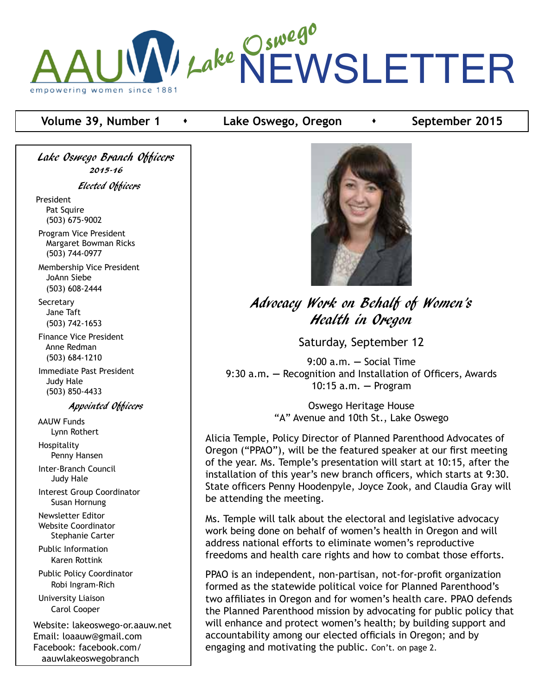

#### **Volume 39, Number 1**  $\rightarrow$  Lake Oswego, Oregon  $\rightarrow$  September 2015

Lake Oswego Branch Officers 2015-16

Elected Officers

President Pat Squire (503) 675-9002

 Program Vice President Margaret Bowman Ricks (503) 744-0977

 Membership Vice President JoAnn Siebe (503) 608-2444

**Secretary**  Jane Taft (503) 742-1653

 Finance Vice President Anne Redman (503) 684-1210

 Immediate Past President Judy Hale (503) 850-4433

Appointed Officers

 AAUW Funds Lynn Rothert Hospitality Penny Hansen Inter-Branch Council Judy Hale Interest Group Coordinator Susan Hornung Newsletter Editor Website Coordinator Stephanie Carter Public Information Karen Rottink Public Policy Coordinator Robi Ingram-Rich University Liaison Carol Cooper Website: lakeoswego-or.aauw.net Email: loaauw@gmail.com

Facebook: facebook.com/ aauwlakeoswegobranch



Advocacy Work on Behalf of Women's Health in Oregon

Saturday, September 12

9:00 a.m. **—** Social Time 9:30 a.m**. —** Recognition and Installation of Officers, Awards 10:15 a.m. **—** Program

> Oswego Heritage House "A" Avenue and 10th St., Lake Oswego

Alicia Temple, Policy Director of Planned Parenthood Advocates of Oregon ("PPAO"), will be the featured speaker at our first meeting of the year. Ms. Temple's presentation will start at 10:15, after the installation of this year's new branch officers, which starts at 9:30. State officers Penny Hoodenpyle, Joyce Zook, and Claudia Gray will be attending the meeting.

Ms. Temple will talk about the electoral and legislative advocacy work being done on behalf of women's health in Oregon and will address national efforts to eliminate women's reproductive freedoms and health care rights and how to combat those efforts.

PPAO is an independent, non-partisan, not-for-profit organization formed as the statewide political voice for Planned Parenthood's two affiliates in Oregon and for women's health care. PPAO defends the Planned Parenthood mission by advocating for public policy that will enhance and protect women's health; by building support and accountability among our elected officials in Oregon; and by engaging and motivating the public. Con't. on page 2.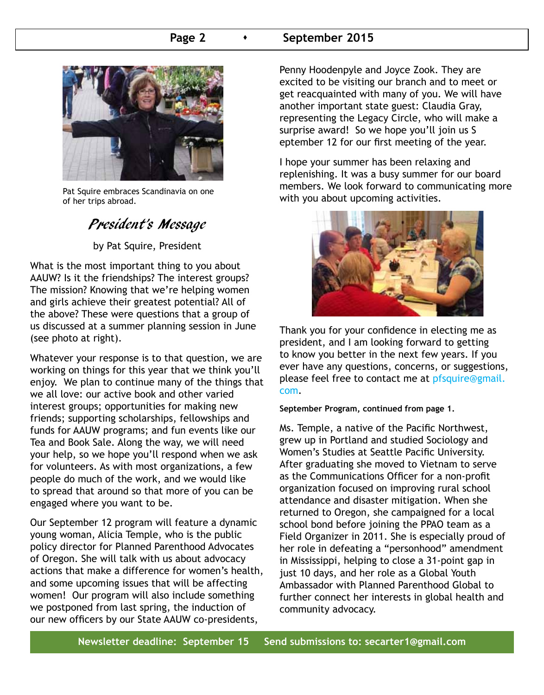#### **Page 2 •** September 2015



Pat Squire embraces Scandinavia on one of her trips abroad.

## President's Message

by Pat Squire, President

What is the most important thing to you about AAUW? Is it the friendships? The interest groups? The mission? Knowing that we're helping women and girls achieve their greatest potential? All of the above? These were questions that a group of us discussed at a summer planning session in June (see photo at right).

Whatever your response is to that question, we are working on things for this year that we think you'll enjoy. We plan to continue many of the things that we all love: our active book and other varied interest groups; opportunities for making new friends; supporting scholarships, fellowships and funds for AAUW programs; and fun events like our Tea and Book Sale. Along the way, we will need your help, so we hope you'll respond when we ask for volunteers. As with most organizations, a few people do much of the work, and we would like to spread that around so that more of you can be engaged where you want to be.

Our September 12 program will feature a dynamic young woman, Alicia Temple, who is the public policy director for Planned Parenthood Advocates of Oregon. She will talk with us about advocacy actions that make a difference for women's health, and some upcoming issues that will be affecting women! Our program will also include something we postponed from last spring, the induction of our new officers by our State AAUW co-presidents,

Penny Hoodenpyle and Joyce Zook. They are excited to be visiting our branch and to meet or get reacquainted with many of you. We will have another important state guest: Claudia Gray, representing the Legacy Circle, who will make a surprise award! So we hope you'll join us S eptember 12 for our first meeting of the year.

I hope your summer has been relaxing and replenishing. It was a busy summer for our board members. We look forward to communicating more with you about upcoming activities.



Thank you for your confidence in electing me as president, and I am looking forward to getting to know you better in the next few years. If you ever have any questions, concerns, or suggestions, please feel free to contact me at pfsquire@gmail. com.

**September Program, continued from page 1.**

Ms. Temple, a native of the Pacific Northwest, grew up in Portland and studied Sociology and Women's Studies at Seattle Pacific University. After graduating she moved to Vietnam to serve as the Communications Officer for a non-profit organization focused on improving rural school attendance and disaster mitigation. When she returned to Oregon, she campaigned for a local school bond before joining the PPAO team as a Field Organizer in 2011. She is especially proud of her role in defeating a "personhood" amendment in Mississippi, helping to close a 31-point gap in just 10 days, and her role as a Global Youth Ambassador with Planned Parenthood Global to further connect her interests in global health and community advocacy.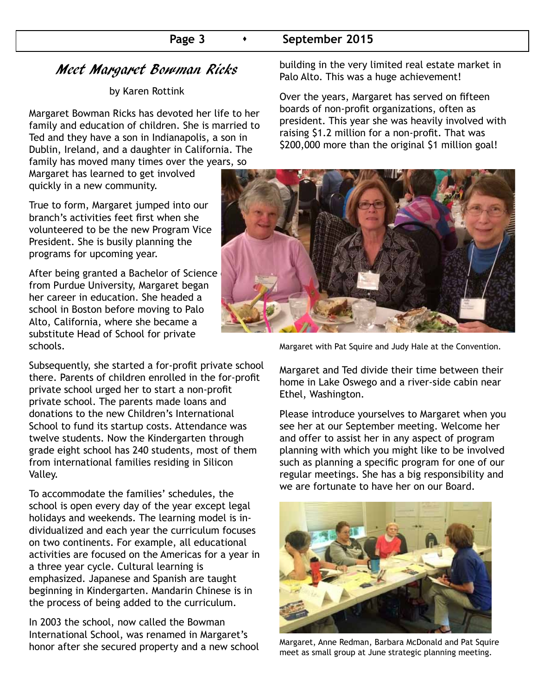### Page 3 **•** September 2015

## Meet Margaret Bowman Ricks

#### by Karen Rottink

Margaret Bowman Ricks has devoted her life to her family and education of children. She is married to Ted and they have a son in Indianapolis, a son in Dublin, Ireland, and a daughter in California. The family has moved many times over the years, so

Margaret has learned to get involved quickly in a new community.

True to form, Margaret jumped into our branch's activities feet first when she volunteered to be the new Program Vice President. She is busily planning the programs for upcoming year.

After being granted a Bachelor of Science from Purdue University, Margaret began her career in education. She headed a school in Boston before moving to Palo Alto, California, where she became a substitute Head of School for private schools.

Subsequently, she started a for-profit private school there. Parents of children enrolled in the for-profit private school urged her to start a non-profit private school. The parents made loans and donations to the new Children's International School to fund its startup costs. Attendance was twelve students. Now the Kindergarten through grade eight school has 240 students, most of them from international families residing in Silicon Valley.

To accommodate the families' schedules, the school is open every day of the year except legal holidays and weekends. The learning model is individualized and each year the curriculum focuses on two continents. For example, all educational activities are focused on the Americas for a year in a three year cycle. Cultural learning is emphasized. Japanese and Spanish are taught beginning in Kindergarten. Mandarin Chinese is in the process of being added to the curriculum.

In 2003 the school, now called the Bowman International School, was renamed in Margaret's honor after she secured property and a new school building in the very limited real estate market in Palo Alto. This was a huge achievement!

Over the years, Margaret has served on fifteen boards of non-profit organizations, often as president. This year she was heavily involved with raising \$1.2 million for a non-profit. That was \$200,000 more than the original \$1 million goal!



Margaret with Pat Squire and Judy Hale at the Convention.

Margaret and Ted divide their time between their home in Lake Oswego and a river-side cabin near Ethel, Washington.

Please introduce yourselves to Margaret when you see her at our September meeting. Welcome her and offer to assist her in any aspect of program planning with which you might like to be involved such as planning a specific program for one of our regular meetings. She has a big responsibility and we are fortunate to have her on our Board.



Margaret, Anne Redman, Barbara McDonald and Pat Squire meet as small group at June strategic planning meeting.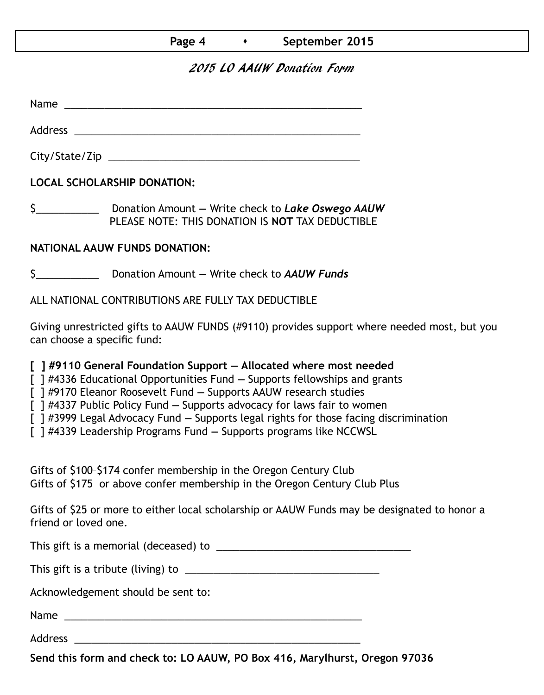## 2015 LO AAUW Donation Form

Name was also as  $\sim$  100  $\mu$  and  $\mu$  and  $\mu$  and  $\mu$  and  $\mu$  and  $\mu$  and  $\mu$ 

City/State/Zip 2000 and 2000 and 2000 and 2000 and 2000 and 2000 and 2000 and 2000 and 2000 and 200

Address \_\_\_\_\_\_\_\_\_\_\_\_\_\_\_\_\_\_\_\_\_\_\_\_\_\_\_\_\_\_\_\_\_\_\_\_\_\_\_\_\_\_\_\_\_\_\_\_\_\_

**LOCAL SCHOLARSHIP DONATION:**

\$\_\_\_\_\_\_\_\_\_\_\_ Donation Amount **—** Write check to *Lake Oswego AAUW* PLEASE NOTE: THIS DONATION IS **NOT** TAX DEDUCTIBLE

### **NATIONAL AAUW FUNDS DONATION:**

\$\_\_\_\_\_\_\_\_\_\_\_ Donation Amount **—** Write check to *AAUW Funds*

ALL NATIONAL CONTRIBUTIONS ARE FULLY TAX DEDUCTIBLE

Giving unrestricted gifts to AAUW FUNDS (#9110) provides support where needed most, but you can choose a specific fund:

**[ ] #9110 General Foundation Support — Allocated where most needed** 

[ ] #4336 Educational Opportunities Fund **—** Supports fellowships and grants

[ ] #9170 Eleanor Roosevelt Fund **—** Supports AAUW research studies

[ ] #4337 Public Policy Fund **—** Supports advocacy for laws fair to women

[ ] #3999 Legal Advocacy Fund **—** Supports legal rights for those facing discrimination

[ ] #4339 Leadership Programs Fund **—** Supports programs like NCCWSL

Gifts of \$100–\$174 confer membership in the Oregon Century Club Gifts of \$175 or above confer membership in the Oregon Century Club Plus

Gifts of \$25 or more to either local scholarship or AAUW Funds may be designated to honor a friend or loved one.

This gift is a memorial (deceased) to \_\_\_\_\_\_\_\_\_\_\_\_\_\_\_\_\_\_\_\_\_\_\_\_\_\_\_\_\_\_\_\_\_\_

This gift is a tribute (living) to \_\_\_\_\_\_\_\_\_\_\_\_\_\_\_\_\_\_\_\_\_\_\_\_\_\_\_\_\_\_\_\_\_\_

Acknowledgement should be sent to:

Name \_\_\_\_\_\_\_\_\_\_\_\_\_\_\_\_\_\_\_\_\_\_\_\_\_\_\_\_\_\_\_\_\_\_\_\_\_\_\_\_\_\_\_\_\_\_\_\_\_\_\_\_

Address \_\_\_\_\_\_\_\_\_\_\_\_\_\_\_\_\_\_\_\_\_\_\_\_\_\_\_\_\_\_\_\_\_\_\_\_\_\_\_\_\_\_\_\_\_\_\_\_\_\_

**Send this form and check to: LO AAUW, PO Box 416, Marylhurst, Oregon 97036**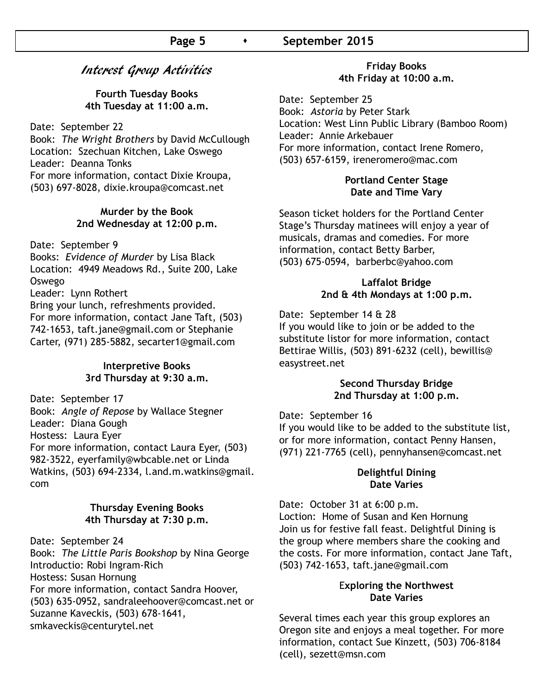#### **Page 5 •** September 2015

#### Interest Group Activities

#### **Fourth Tuesday Books 4th Tuesday at 11:00 a.m.**

Date: September 22

Book: *The Wright Brothers* by David McCullough Location: Szechuan Kitchen, Lake Oswego Leader: Deanna Tonks For more information, contact Dixie Kroupa, (503) 697-8028, dixie.kroupa@comcast.net

#### **Murder by the Book 2nd Wednesday at 12:00 p.m.**

#### Date: September 9

Books: *Evidence of Murder* by Lisa Black Location: 4949 Meadows Rd., Suite 200, Lake Oswego

Leader: Lynn Rothert

Bring your lunch, refreshments provided. For more information, contact Jane Taft, (503) 742-1653, taft.jane@gmail.com or Stephanie Carter, (971) 285-5882, secarter1@gmail.com

#### **Interpretive Books 3rd Thursday at 9:30 a.m.**

Date: September 17 Book: *Angle of Repose* by Wallace Stegner Leader: Diana Gough Hostess: Laura Eyer For more information, contact Laura Eyer, (503) 982-3522, eyerfamily@wbcable.net or Linda Watkins, (503) 694-2334, l.and.m.watkins@gmail. com

#### **Thursday Evening Books 4th Thursday at 7:30 p.m.**

Date: September 24

Book: *The Little Paris Bookshop* by Nina George Introductio: Robi Ingram-Rich Hostess: Susan Hornung For more information, contact Sandra Hoover, (503) 635-0952, sandraleehoover@comcast.net or Suzanne Kaveckis, (503) 678-1641, smkaveckis@centurytel.net

#### **Friday Books 4th Friday at 10:00 a.m.**

Date: September 25 Book: *Astoria* by Peter Stark Location: West Linn Public Library (Bamboo Room) Leader: Annie Arkebauer For more information, contact Irene Romero, (503) 657-6159, ireneromero@mac.com

#### **Portland Center Stage Date and Time Vary**

Season ticket holders for the Portland Center Stage's Thursday matinees will enjoy a year of musicals, dramas and comedies. For more information, contact Betty Barber, (503) 675-0594, barberbc@yahoo.com

#### **Laffalot Bridge 2nd & 4th Mondays at 1:00 p.m.**

Date: September 14 & 28

If you would like to join or be added to the substitute listor for more information, contact Bettirae Willis, (503) 891-6232 (cell), bewillis@ easystreet.net

#### **Second Thursday Bridge 2nd Thursday at 1:00 p.m.**

Date: September 16

If you would like to be added to the substitute list, or for more information, contact Penny Hansen, (971) 221-7765 (cell), pennyhansen@comcast.net

#### **Delightful Dining Date Varies**

Date: October 31 at 6:00 p.m. Loction: Home of Susan and Ken Hornung Join us for festive fall feast. Delightful Dining is the group where members share the cooking and the costs. For more information, contact Jane Taft, (503) 742-1653, taft.jane@gmail.com

#### E**xploring the Northwest Date Varies**

Several times each year this group explores an Oregon site and enjoys a meal together. For more information, contact Sue Kinzett, (503) 706-8184 (cell), sezett@msn.com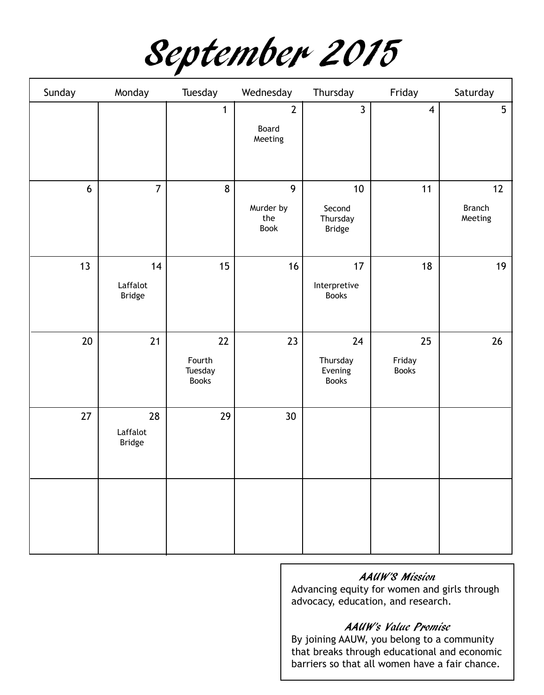September 2015

| Sunday         | Monday                          | Tuesday                                   | Wednesday                          | Thursday                                               | Friday                       | Saturday                       |
|----------------|---------------------------------|-------------------------------------------|------------------------------------|--------------------------------------------------------|------------------------------|--------------------------------|
|                |                                 | $\mathbf{1}$                              | $\overline{2}$<br>Board<br>Meeting | $\mathbf{3}$                                           | $\overline{\mathbf{4}}$      | 5                              |
| $6\phantom{a}$ | $\overline{7}$                  | 8                                         | 9<br>Murder by<br>the<br>Book      | 10 <sup>1</sup><br>Second<br>Thursday<br><b>Bridge</b> | 11                           | 12<br><b>Branch</b><br>Meeting |
| 13             | 14<br>Laffalot<br>Bridge        | 15                                        | 16                                 | 17<br>Interpretive<br><b>Books</b>                     | 18                           | 19                             |
| $20\,$         | 21                              | $22$<br>Fourth<br>Tuesday<br><b>Books</b> | 23                                 | 24<br>Thursday<br>Evening<br><b>Books</b>              | 25<br>Friday<br><b>Books</b> | 26                             |
| 27             | 28<br>Laffalot<br><b>Bridge</b> | 29                                        | 30                                 |                                                        |                              |                                |
|                |                                 |                                           |                                    |                                                        |                              |                                |

#### AAUW'S Mission

Advancing equity for women and girls through advocacy, education, and research.

#### AAUW's Value Promise

By joining AAUW, you belong to a community that breaks through educational and economic barriers so that all women have a fair chance.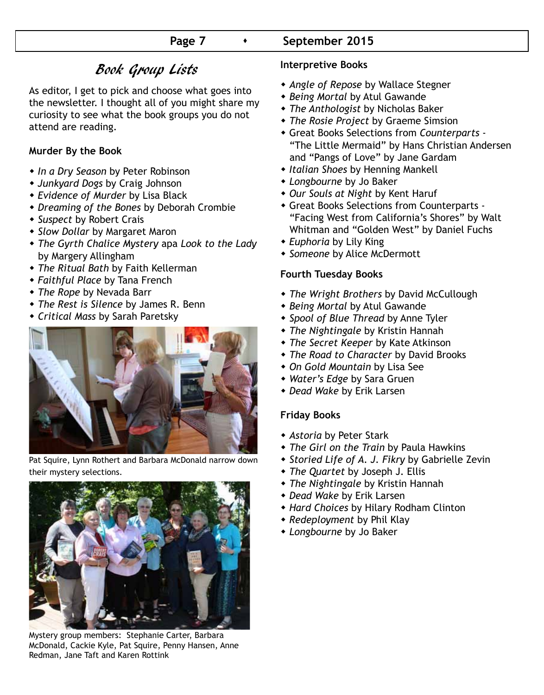# Book Group Lists

As editor, I get to pick and choose what goes into the newsletter. I thought all of you might share my curiosity to see what the book groups you do not attend are reading.

#### **Murder By the Book**

- w *In a Dry Season* by Peter Robinson
- w *Junkyard Dogs* by Craig Johnson
- w *Evidence of Murder* by Lisa Black
- w *Dreaming of the Bones* by Deborah Crombie
- w *Suspect* by Robert Crais
- \* Slow Dollar by Margaret Maron
- w *The Gyrth Chalice Mystery* apa *Look to the Lady* by Margery Allingham
- w *The Ritual Bath* by Faith Kellerman
- w *Faithful Place* by Tana French
- w *The Rope* by Nevada Barr
- w *The Rest is Silence* by James R. Benn
- w *Critical Mass* by Sarah Paretsky



Pat Squire, Lynn Rothert and Barbara McDonald narrow down their mystery selections.



Mystery group members: Stephanie Carter, Barbara McDonald, Cackie Kyle, Pat Squire, Penny Hansen, Anne Redman, Jane Taft and Karen Rottink

#### **Interpretive Books**

- **\*** Angle of Repose by Wallace Stegner
- **\* Being Mortal by Atul Gawande**
- w *The Anthologist* by Nicholas Baker
- **\*** The Rosie Project by Graeme Simsion
- w Great Books Selections from *Counterparts* "The Little Mermaid" by Hans Christian Andersen and "Pangs of Love" by Jane Gardam
- **\* Italian Shoes by Henning Mankell**
- w *Longbourne* by Jo Baker
- w *Our Souls at Night* by Kent Haruf
- Great Books Selections from Counterparts - "Facing West from California's Shores" by Walt Whitman and "Golden West" by Daniel Fuchs
- **Euphoria** by Lily King
- **\* Someone by Alice McDermott**

#### **Fourth Tuesday Books**

- w *The Wright Brothers* by David McCullough
- **\* Being Mortal by Atul Gawande**
- w *Spool of Blue Thread* by Anne Tyler
- **\*** The Nightingale by Kristin Hannah
- **\*** The Secret Keeper by Kate Atkinson
- w *The Road to Character* by David Brooks
- w *On Gold Mountain* by Lisa See
- w *Water's Edge* by Sara Gruen
- w *Dead Wake* by Erik Larsen

#### **Friday Books**

- w *Astoria* by Peter Stark
- w *The Girl on the Train* by Paula Hawkins
- \* Storied Life of A. J. Fikry by Gabrielle Zevin
- w *The Quartet* by Joseph J. Ellis
- w *The Nightingale* by Kristin Hannah
- w *Dead Wake* by Erik Larsen
- w *Hard Choices* by Hilary Rodham Clinton
- w *Redeployment* by Phil Klay
- **\*** Longbourne by Jo Baker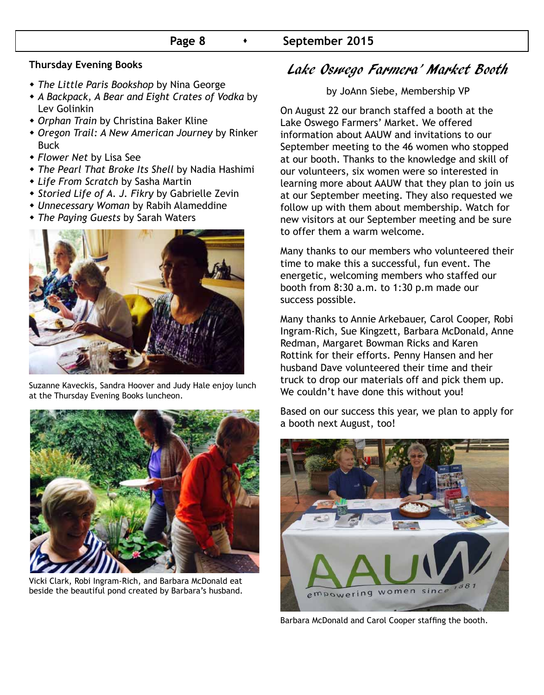#### **Thursday Evening Books**

- w *The Little Paris Bookshop* by Nina George
- w *A Backpack, A Bear and Eight Crates of Vodka* by Lev Golinkin
- **+ Orphan Train by Christina Baker Kline**
- w *Oregon Trail: A New American Journey* by Rinker Buck
- w *Flower Net* by Lisa See
- **The Pearl That Broke Its Shell by Nadia Hashimi**
- w *Life From Scratch* by Sasha Martin
- w *Storied Life of A. J. Fikry* by Gabrielle Zevin
- w *Unnecessary Woman* by Rabih Alameddine
- w *The Paying Guests* by Sarah Waters



Suzanne Kaveckis, Sandra Hoover and Judy Hale enjoy lunch at the Thursday Evening Books luncheon.



Vicki Clark, Robi Ingram-Rich, and Barbara McDonald eat beside the beautiful pond created by Barbara's husband.

## Lake Oswego Farmera' Market Booth

by JoAnn Siebe, Membership VP

On August 22 our branch staffed a booth at the Lake Oswego Farmers' Market. We offered information about AAUW and invitations to our September meeting to the 46 women who stopped at our booth. Thanks to the knowledge and skill of our volunteers, six women were so interested in learning more about AAUW that they plan to join us at our September meeting. They also requested we follow up with them about membership. Watch for new visitors at our September meeting and be sure to offer them a warm welcome.

Many thanks to our members who volunteered their time to make this a successful, fun event. The energetic, welcoming members who staffed our booth from 8:30 a.m. to 1:30 p.m made our success possible.

Many thanks to Annie Arkebauer, Carol Cooper, Robi Ingram-Rich, Sue Kingzett, Barbara McDonald, Anne Redman, Margaret Bowman Ricks and Karen Rottink for their efforts. Penny Hansen and her husband Dave volunteered their time and their truck to drop our materials off and pick them up. We couldn't have done this without you!

Based on our success this year, we plan to apply for a booth next August, too!



Barbara McDonald and Carol Cooper staffing the booth.